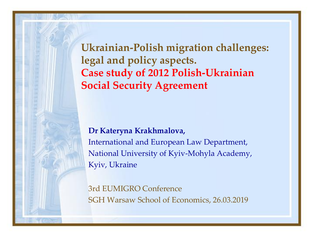**Ukrainian-Polish migration challenges: legal and policy aspects. Case study of 2012 Polish-Ukrainian Social Security Agreement**

#### **Dr Kateryna Krakhmalova,**

International and European Law Department, National University of Kyiv-Mohyla Academy, Kyiv, Ukraine

3rd EUMIGRO Conference SGH Warsaw School of Economics, 26.03.2019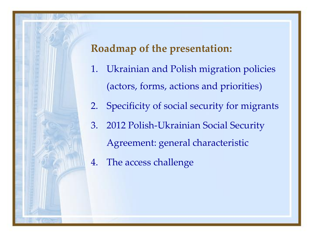### **Roadmap of the presentation:**

- 1. Ukrainian and Polish migration policies (actors, forms, actions and priorities)
- 2. Specificity of social security for migrants
- 3. 2012 Polish-Ukrainian Social Security Agreement: general characteristic
- 4. The access challenge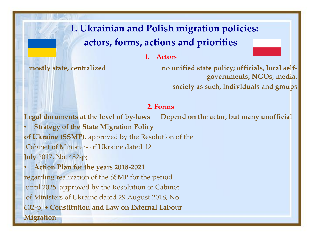## **1. Ukrainian and Polish migration policies: actors, forms, actions and priorities**

**1. Actors**

mostly state, centralized no unified state policy; officials, local self**governments, NGOs, media, society as such, individuals and groups** 

#### **2. Forms**

**Legal documents at the level of by-laws Depend on the actor, but many unofficial**

• **Strategy of the State Migration Policy of Ukraine (SSMP)**, approved by the Resolution of the Cabinet of Ministers of Ukraine dated 12 July 2017, No. 482-p;

• **Action Plan for the years 2018-2021** regarding realization of the SSMP for the period until 2025, approved by the Resolution of Cabinet of Ministers of Ukraine dated 29 August 2018, No. 602-p; **+ Constitution and Law on External Labour Migration**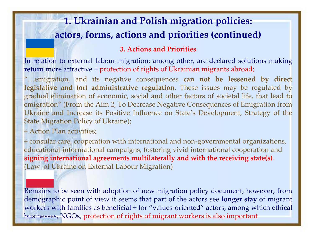### **1. Ukrainian and Polish migration policies: actors, forms, actions and priorities (continued)**

#### **3. Actions and Priorities**

In relation to external labour migration: among other, are declared solutions making **return** more attractive + protection of rights of Ukrainian migrants abroad;

"…emigration, and its negative consequences **can not be lessened by direct legislative and (or) administrative regulation**. These issues may be regulated by gradual elimination of economic, social and other factors of societal life, that lead to emigration" (From the Aim 2, To Decrease Negative Consequences of Emigration from Ukraine and Increase its Positive Influence on State's Development, Strategy of the State Migration Policy of Ukraine);

+ Action Plan activities;

+ consular care, cooperation with international and non-governmental organizations, educational-informational campaigns, fostering vivid international cooperation and **signing international agreements multilaterally and with the receiving state(s)**. (Law of Ukraine on External Labour Migration)

Remains to be seen with adoption of new migration policy document, however, from demographic point of view it seems that part of the actors see **longer stay** of migrant workers with families as beneficial + for "values-oriented" actors, among which ethical businesses, NGOs, protection of rights of migrant workers is also important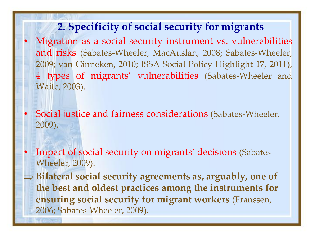#### **2. Specificity of social security for migrants**

- Migration as a social security instrument vs. vulnerabilities and risks (Sabates-Wheeler, MacAuslan, 2008; Sabates-Wheeler, 2009; van Ginneken, 2010; ISSA Social Policy Highlight 17, 2011), 4 types of migrants' vulnerabilities (Sabates-Wheeler and Waite, 2003).
- Social justice and fairness considerations (Sabates-Wheeler, 2009).
- Impact of social security on migrants' decisions (Sabates-Wheeler, 2009).
- **Bilateral social security agreements as, arguably, one of the best and oldest practices among the instruments for ensuring social security for migrant workers** (Franssen, 2006; Sabates-Wheeler, 2009).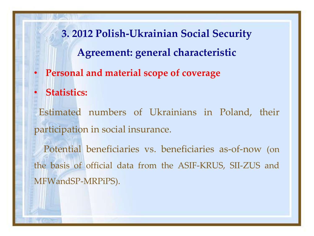**3. 2012 Polish-Ukrainian Social Security Agreement: general characteristic**

- **Personal and material scope of coverage**
- **Statistics:**

Estimated numbers of Ukrainians in Poland, their participation in social insurance.

Potential beneficiaries vs. beneficiaries as-of-now (on the basis of official data from the ASIF-KRUS, SII-ZUS and MFWandSP-MRPiPS).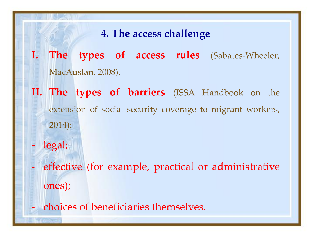#### **4. The access challenge**

- **I. The types of access rules** (Sabates-Wheeler, MacAuslan, 2008).
- **II. The types of barriers** (ISSA Handbook on the extension of social security coverage to migrant workers, 2014):
	- legal;
- effective (for example, practical or administrative ones);
- choices of beneficiaries themselves.